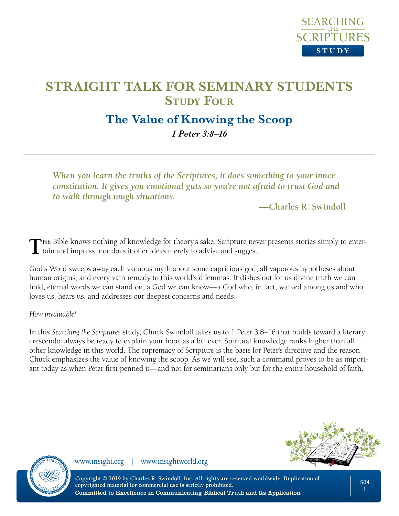

## **The Value of Knowing the Scoop**

*1 Peter 3:8–16* 

*When you learn the truths of the Scriptures, it does something to your inner constitution. It gives you emotional guts so you're not afraid to trust God and to walk through tough situations.* 

**—Charles R. Swindoll**

THE Bible knows nothing of knowledge for theory's sake. Scripture never presents stories simply to entertiain and impress, nor does it offer ideas merely to advise and suggest.

God's Word sweeps away each vacuous myth about some capricious god, all vaporous hypotheses about human origins, and every vain remedy to this world's dilemmas. It dishes out for us divine truth we can hold, eternal words we can stand on, a God we can know—a God who, in fact, walked among us and who loves us, hears us, and addresses our deepest concerns and needs.

*How invaluable!*

In this *Searching the Scriptures* study, Chuck Swindoll takes us to 1 Peter 3:8–16 that builds toward a literary crescendo: always be ready to explain your hope as a believer. Spiritual knowledge ranks higher than all other knowledge in this world. The supremacy of Scripture is the basis for Peter's directive and the reason Chuck emphasizes the value of knowing the scoop. As we will see, such a command proves to be as important today as when Peter first penned it—and not for seminarians only but for the entire household of faith.



www.insight.org | www.insightworld.org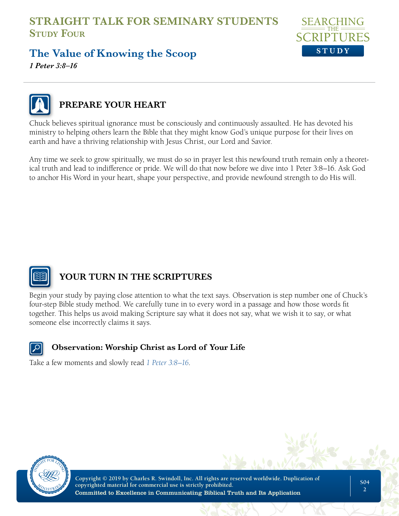

# **The Value of Knowing the Scoop**

*1 Peter 3:8–16*



## **PREPARE YOUR HEART**

Chuck believes spiritual ignorance must be consciously and continuously assaulted. He has devoted his ministry to helping others learn the Bible that they might know God's unique purpose for their lives on earth and have a thriving relationship with Jesus Christ, our Lord and Savior.

Any time we seek to grow spiritually, we must do so in prayer lest this newfound truth remain only a theoretical truth and lead to indifference or pride. We will do that now before we dive into 1 Peter 3:8–16. Ask God to anchor His Word in your heart, shape your perspective, and provide newfound strength to do His will.



#### **YOUR TURN IN THE SCRIPTURES**

Begin your study by paying close attention to what the text says. Observation is step number one of Chuck's four-step Bible study method. We carefully tune in to every word in a passage and how those words fit together. This helps us avoid making Scripture say what it does not say, what we wish it to say, or what someone else incorrectly claims it says.



#### **Observation: Worship Christ as Lord of Your Life**

Take a few moments and slowly read *[1 Peter 3:8–16](https://www.biblegateway.com/passage/?search=1%20Peter%203%3A8-16&version=NLT;NASB)*.



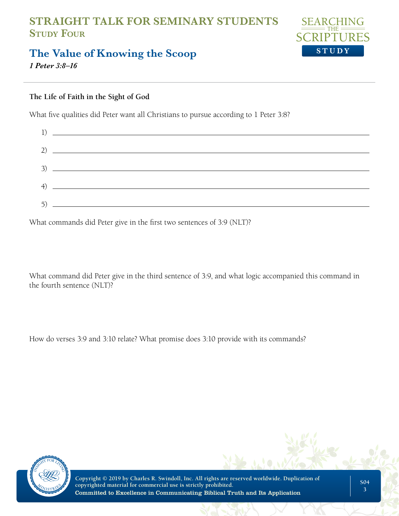

# **The Value of Knowing the Scoop**

*1 Peter 3:8–16*

#### **The Life of Faith in the Sight of God**

What five qualities did Peter want all Christians to pursue according to 1 Peter 3:8?



What commands did Peter give in the first two sentences of 3:9 (NLT)?

What command did Peter give in the third sentence of 3:9, and what logic accompanied this command in the fourth sentence (NLT)?

How do verses 3:9 and 3:10 relate? What promise does 3:10 provide with its commands?



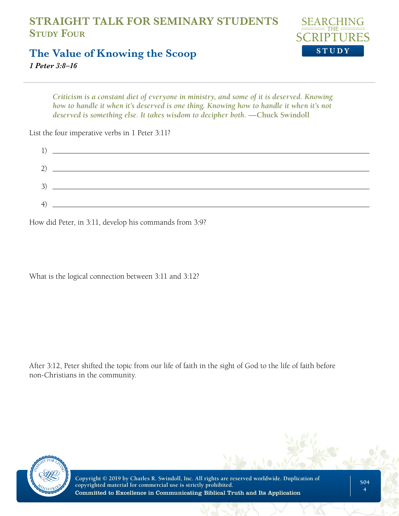

## **The Value of Knowing the Scoop**

*1 Peter 3:8–16*

*Criticism is a constant diet of everyone in ministry, and some of it is deserved. Knowing how to handle it when it's deserved is one thing. Knowing how to handle it when it's not deserved is something else. It takes wisdom to decipher both.* —Chuck Swindoll

List the four imperative verbs in 1 Peter 3:11?

| $\left(4\right)$ | <u> 1989 - Johann Barn, mars eta bainar eta baina eta baina eta baina eta baina eta baina eta baina eta baina e</u> |
|------------------|---------------------------------------------------------------------------------------------------------------------|

How did Peter, in 3:11, develop his commands from 3:9?

What is the logical connection between 3:11 and 3:12?

After 3:12, Peter shifted the topic from our life of faith in the sight of God to the life of faith before non-Christians in the community.

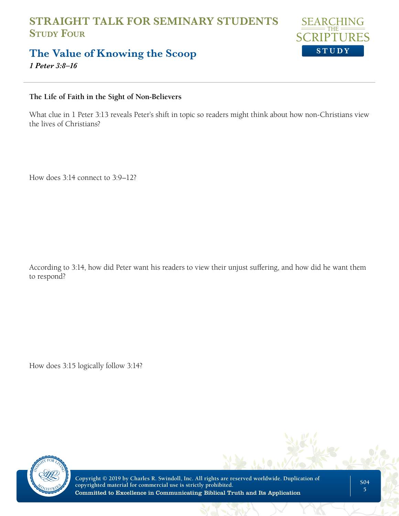

## **The Value of Knowing the Scoop**

*1 Peter 3:8–16*

#### **The Life of Faith in the Sight of Non-Believers**

What clue in 1 Peter 3:13 reveals Peter's shift in topic so readers might think about how non-Christians view the lives of Christians?

How does 3:14 connect to 3:9–12?

According to 3:14, how did Peter want his readers to view their unjust suffering, and how did he want them to respond?

How does 3:15 logically follow 3:14?



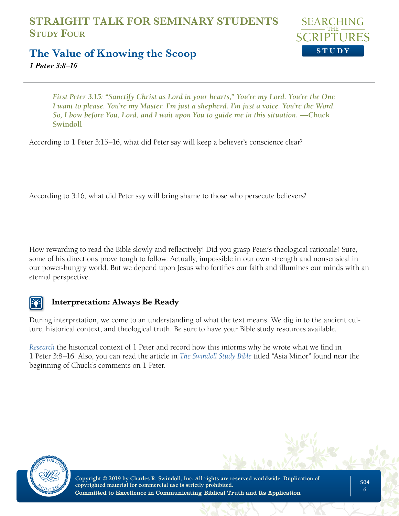

#### **The Value of Knowing the Scoop**

*1 Peter 3:8–16*

*First Peter 3:15: "Sanctify Christ as Lord in your hearts," You're my Lord. You're the One I want to please. You're my Master. I'm just a shepherd. I'm just a voice. You're the Word. So, I bow before You, Lord, and I wait upon You to guide me in this situation.* — Chuck **Swindoll**

According to 1 Peter 3:15–16, what did Peter say will keep a believer's conscience clear?

According to 3:16, what did Peter say will bring shame to those who persecute believers?

How rewarding to read the Bible slowly and reflectively! Did you grasp Peter's theological rationale? Sure, some of his directions prove tough to follow. Actually, impossible in our own strength and nonsensical in our power-hungry world. But we depend upon Jesus who fortifies our faith and illumines our minds with an eternal perspective.

#### **Interpretation: Always Be Ready**

During interpretation, we come to an understanding of what the text means. We dig in to the ancient culture, historical context, and theological truth. Be sure to have your Bible study resources available.

*[Research](https://insight.org/resources/bible/the-general-epistles/first-peter)* the historical context of 1 Peter and record how this informs why he wrote what we find in 1 Peter 3:8–16. Also, you can read the article in *[The Swindoll Study Bible](https://store.insight.org/p-1816-the-swindoll-study-bible-nlt.aspx)* titled "Asia Minor" found near the beginning of Chuck's comments on 1 Peter.

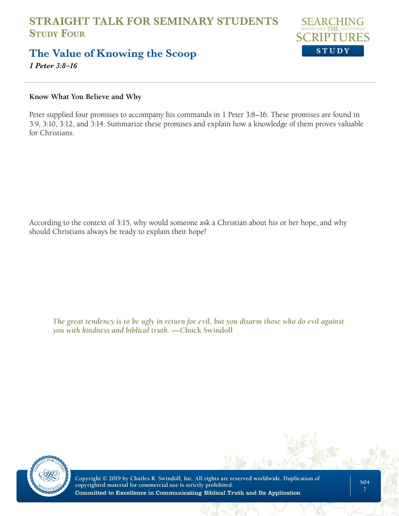

## **The Value of Knowing the Scoop**

*1 Peter 3:8–16*

#### **Know What You Believe and Why**

Peter supplied four promises to accompany his commands in 1 Peter 3:8–16. These promises are found in 3:9, 3:10, 3:12, and 3:14. Summarize these promises and explain how a knowledge of them proves valuable for Christians.

According to the context of 3:15, why would someone ask a Christian about his or her hope, and why should Christians always be ready to explain their hope?

*The great tendency is to be ugly in return for evil, but you disarm those who do evil against you with kindness and biblical truth.* **—Chuck Swindoll**

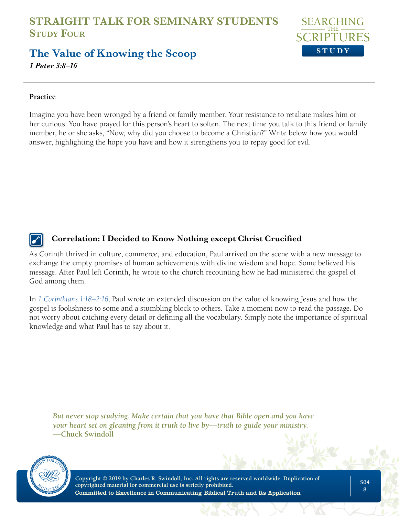

## **The Value of Knowing the Scoop**

*1 Peter 3:8–16*

#### **Practice**

Imagine you have been wronged by a friend or family member. Your resistance to retaliate makes him or her curious. You have prayed for this person's heart to soften. The next time you talk to this friend or family member, he or she asks, "Now, why did you choose to become a Christian?" Write below how you would answer, highlighting the hope you have and how it strengthens you to repay good for evil.

#### **Correlation: I Decided to Know Nothing except Christ Crucified**

As Corinth thrived in culture, commerce, and education, Paul arrived on the scene with a new message to exchange the empty promises of human achievements with divine wisdom and hope. Some believed his message. After Paul left Corinth, he wrote to the church recounting how he had ministered the gospel of God among them.

In *[1 Corinthians 1:18–2:16](https://www.biblegateway.com/passage/?search=1%20corinthians%201%3A18-2%3A16&version=NLT;NASB)*, Paul wrote an extended discussion on the value of knowing Jesus and how the gospel is foolishness to some and a stumbling block to others. Take a moment now to read the passage. Do not worry about catching every detail or defining all the vocabulary. Simply note the importance of spiritual knowledge and what Paul has to say about it.

*But never stop studying. Make certain that you have that Bible open and you have your heart set on gleaning from it truth to live by—truth to guide your ministry.*  **—Chuck Swindoll**

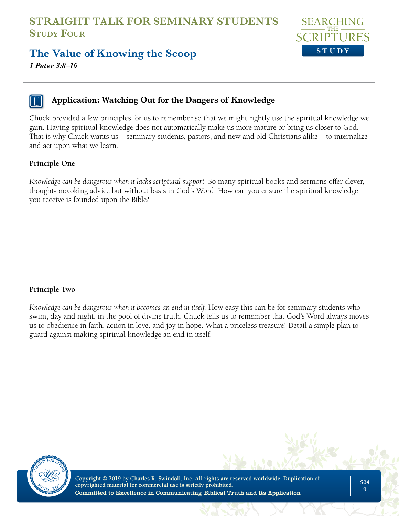

## **The Value of Knowing the Scoop**

*1 Peter 3:8–16*

#### **Application: Watching Out for the Dangers of Knowledge**

Chuck provided a few principles for us to remember so that we might rightly use the spiritual knowledge we gain. Having spiritual knowledge does not automatically make us more mature or bring us closer to God. That is why Chuck wants us—seminary students, pastors, and new and old Christians alike—to internalize and act upon what we learn.

#### **Principle One**

*Knowledge can be dangerous when it lacks scriptural support.* So many spiritual books and sermons offer clever, thought-provoking advice but without basis in God's Word. How can you ensure the spiritual knowledge you receive is founded upon the Bible?

#### **Principle Two**

*Knowledge can be dangerous when it becomes an end in itself.* How easy this can be for seminary students who swim, day and night, in the pool of divine truth. Chuck tells us to remember that God's Word always moves us to obedience in faith, action in love, and joy in hope. What a priceless treasure! Detail a simple plan to guard against making spiritual knowledge an end in itself.

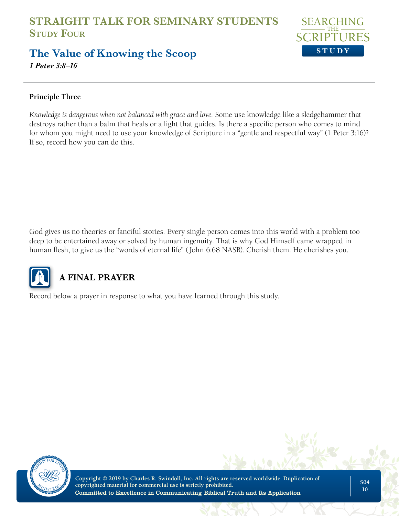

## **The Value of Knowing the Scoop**

*1 Peter 3:8–16*

#### **Principle Three**

*Knowledge is dangerous when not balanced with grace and love.* Some use knowledge like a sledgehammer that destroys rather than a balm that heals or a light that guides. Is there a specific person who comes to mind for whom you might need to use your knowledge of Scripture in a "gentle and respectful way" (1 Peter 3:16)? If so, record how you can do this.

God gives us no theories or fanciful stories. Every single person comes into this world with a problem too deep to be entertained away or solved by human ingenuity. That is why God Himself came wrapped in human flesh, to give us the "words of eternal life" (John 6:68 NASB). Cherish them. He cherishes you.



## **A FINAL PRAYER**

Record below a prayer in response to what you have learned through this study.